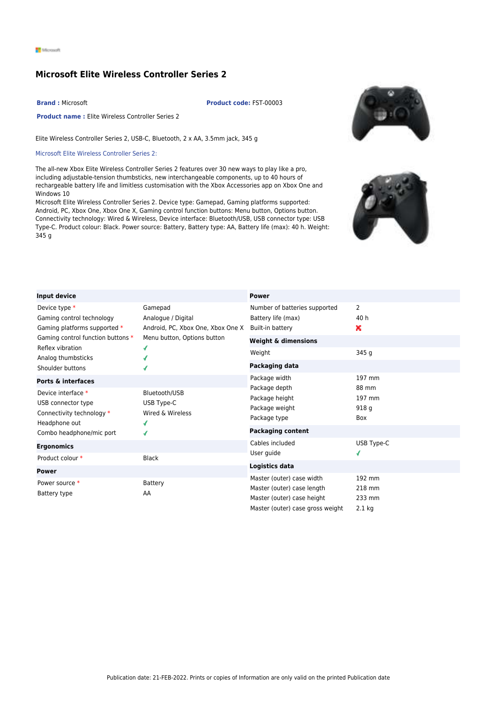## **Microsoft Elite Wireless Controller Series 2**

**Brand :** Microsoft **Product code:** FST-00003

**Product name :** Elite Wireless Controller Series 2

Elite Wireless Controller Series 2, USB-C, Bluetooth, 2 x AA, 3.5mm jack, 345 g

## Microsoft Elite Wireless Controller Series 2:

The all-new Xbox Elite Wireless Controller Series 2 features over 30 new ways to play like a pro, including adjustable-tension thumbsticks, new interchangeable components, up to 40 hours of rechargeable battery life and limitless customisation with the Xbox Accessories app on Xbox One and Windows 10

Microsoft Elite Wireless Controller Series 2. Device type: Gamepad, Gaming platforms supported: Android, PC, Xbox One, Xbox One X, Gaming control function buttons: Menu button, Options button. Connectivity technology: Wired & Wireless, Device interface: Bluetooth/USB, USB connector type: USB Type-C. Product colour: Black. Power source: Battery, Battery type: AA, Battery life (max): 40 h. Weight: 345 g





| Input device                                                                                                                                              |                                                                                                        | <b>Power</b>                                                                                                              |                                        |
|-----------------------------------------------------------------------------------------------------------------------------------------------------------|--------------------------------------------------------------------------------------------------------|---------------------------------------------------------------------------------------------------------------------------|----------------------------------------|
| Device type *<br>Gaming control technology<br>Gaming platforms supported *<br>Gaming control function buttons *<br>Reflex vibration<br>Analog thumbsticks | Gamepad<br>Analogue / Digital<br>Android, PC, Xbox One, Xbox One X<br>Menu button, Options button<br>ď | Number of batteries supported<br>Battery life (max)<br>Built-in battery                                                   | $\overline{2}$<br>40 h<br>۰.           |
|                                                                                                                                                           |                                                                                                        | <b>Weight &amp; dimensions</b>                                                                                            |                                        |
|                                                                                                                                                           |                                                                                                        | Weight                                                                                                                    | 345 g                                  |
| Shoulder buttons                                                                                                                                          | ď                                                                                                      | Packaging data                                                                                                            |                                        |
| <b>Ports &amp; interfaces</b>                                                                                                                             |                                                                                                        | Package width                                                                                                             | 197 mm                                 |
| Device interface *<br>USB connector type<br>Connectivity technology *<br>Headphone out                                                                    | Bluetooth/USB<br>USB Type-C<br>Wired & Wireless<br>ď                                                   | Package depth<br>Package height<br>Package weight<br>Package type                                                         | 88 mm<br>197 mm<br>918q<br>Box         |
| Combo headphone/mic port                                                                                                                                  | ď                                                                                                      | <b>Packaging content</b>                                                                                                  |                                        |
| <b>Ergonomics</b><br>Product colour *                                                                                                                     | <b>Black</b>                                                                                           | Cables included<br>User guide                                                                                             | USB Type-C<br>ď                        |
| <b>Power</b>                                                                                                                                              |                                                                                                        | Logistics data                                                                                                            |                                        |
| Power source *<br>Battery type                                                                                                                            | <b>Battery</b><br>AA                                                                                   | Master (outer) case width<br>Master (outer) case length<br>Master (outer) case height<br>Master (outer) case gross weight | 192 mm<br>218 mm<br>233 mm<br>$2.1$ kg |